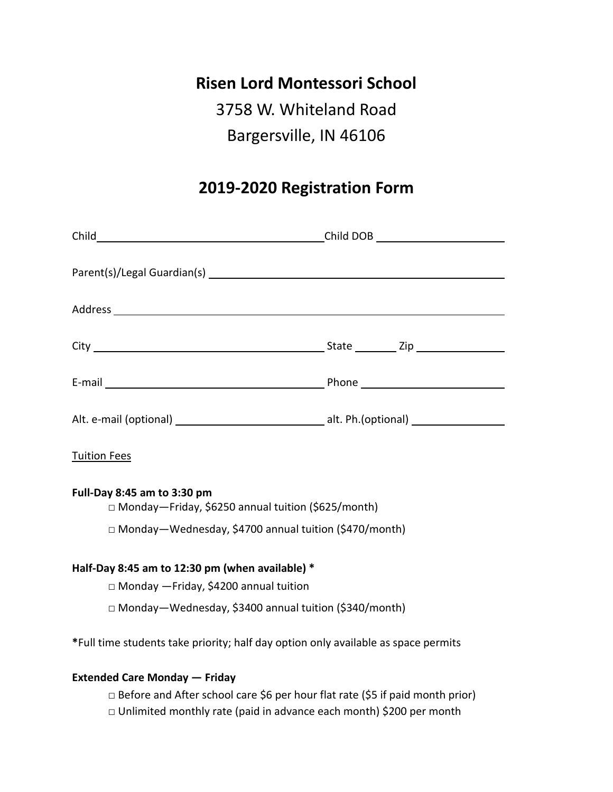### **Risen Lord Montessori School**

# 3758 W. Whiteland Road Bargersville, IN 46106

## **2019-2020 Registration Form**

| Child Child Child Child Child DOB Child DOB Child DOB Child Child Child Child Child Child Child Child Child Child Child Child Child Child Child Child Child Child Child Child Child Child Child Child Child Child Child Child |  |
|-------------------------------------------------------------------------------------------------------------------------------------------------------------------------------------------------------------------------------|--|
|                                                                                                                                                                                                                               |  |
|                                                                                                                                                                                                                               |  |
|                                                                                                                                                                                                                               |  |
|                                                                                                                                                                                                                               |  |
|                                                                                                                                                                                                                               |  |
|                                                                                                                                                                                                                               |  |
|                                                                                                                                                                                                                               |  |
| <b>Tuition Fees</b>                                                                                                                                                                                                           |  |
| Full-Day 8:45 am to 3:30 pm<br>□ Monday-Friday, \$6250 annual tuition (\$625/month)                                                                                                                                           |  |
| □ Monday-Wednesday, \$4700 annual tuition (\$470/month)                                                                                                                                                                       |  |
| Half-Day 8:45 am to 12:30 pm (when available) *                                                                                                                                                                               |  |
| □ Monday - Friday, \$4200 annual tuition                                                                                                                                                                                      |  |
| □ Monday-Wednesday, \$3400 annual tuition (\$340/month)                                                                                                                                                                       |  |
| *Full time students take priority; half day option only available as space permits                                                                                                                                            |  |
| <b>Extended Care Monday - Friday</b>                                                                                                                                                                                          |  |
| □ Before and After school care \$6 per hour flat rate (\$5 if paid month prior)                                                                                                                                               |  |

□ Unlimited monthly rate (paid in advance each month) \$200 per month